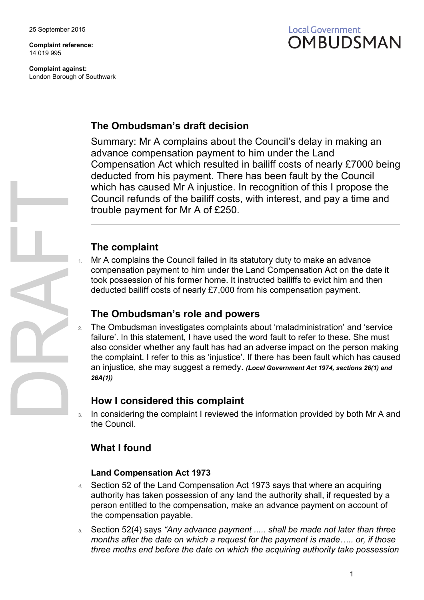**Complaint reference:** 14 019 995

**Complaint against:** London Borough of Southwark



## **The Ombudsman's draft decision**

Summary: Mr A complains about the Council's delay in making an advance compensation payment to him under the Land Compensation Act which resulted in bailiff costs of nearly £7000 being deducted from his payment. There has been fault by the Council which has caused Mr A injustice. In recognition of this I propose the Council refunds of the bailiff costs, with interest, and pay a time and trouble payment for Mr A of £250.

## **The complaint**

Mr A complains the Council failed in its statutory duty to make an advance compensation payment to him under the Land Compensation Act on the date it took possession of his former home. It instructed bailiffs to evict him and then deducted bailiff costs of nearly £7,000 from his compensation payment.

### **The Ombudsman's role and powers**

2. The Ombudsman investigates complaints about 'maladministration' and 'service failure'. In this statement, I have used the word fault to refer to these. She must also consider whether any fault has had an adverse impact on the person making the complaint. I refer to this as 'injustice'. If there has been fault which has caused an injustice, she may suggest a remedy. *(Local Government Act 1974, sections 26(1) and 26A(1))*

### **How I considered this complaint**

In considering the complaint I reviewed the information provided by both Mr A and the Council.

## **What I found**

#### **Land Compensation Act 1973**

- *4.* Section 52 of the Land Compensation Act 1973 says that where an acquiring authority has taken possession of any land the authority shall, if requested by a person entitled to the compensation, make an advance payment on account of the compensation payable.
- *5.* Section 52(4) says *"Any advance payment ..... shall be made not later than three months after the date on which a request for the payment is made….. or, if those three moths end before the date on which the acquiring authority take possession*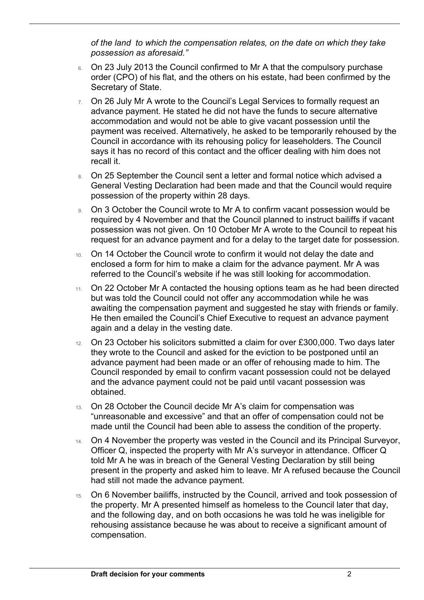*of the land to which the compensation relates, on the date on which they take possession as aforesaid."*

 $\overline{a}$ 

- 6. On 23 July 2013 the Council confirmed to Mr A that the compulsory purchase order (CPO) of his flat, and the others on his estate, had been confirmed by the Secretary of State.
- 7. On 26 July Mr A wrote to the Council's Legal Services to formally request an advance payment. He stated he did not have the funds to secure alternative accommodation and would not be able to give vacant possession until the payment was received. Alternatively, he asked to be temporarily rehoused by the Council in accordance with its rehousing policy for leaseholders. The Council says it has no record of this contact and the officer dealing with him does not recall it.
- 8. On 25 September the Council sent a letter and formal notice which advised a General Vesting Declaration had been made and that the Council would require possession of the property within 28 days.
- 9. On 3 October the Council wrote to Mr A to confirm vacant possession would be required by 4 November and that the Council planned to instruct bailiffs if vacant possession was not given. On 10 October Mr A wrote to the Council to repeat his request for an advance payment and for a delay to the target date for possession.
- 10. On 14 October the Council wrote to confirm it would not delay the date and enclosed a form for him to make a claim for the advance payment. Mr A was referred to the Council's website if he was still looking for accommodation.
- 11. On 22 October Mr A contacted the housing options team as he had been directed but was told the Council could not offer any accommodation while he was awaiting the compensation payment and suggested he stay with friends or family. He then emailed the Council's Chief Executive to request an advance payment again and a delay in the vesting date.
- 12. On 23 October his solicitors submitted a claim for over £300,000. Two days later they wrote to the Council and asked for the eviction to be postponed until an advance payment had been made or an offer of rehousing made to him. The Council responded by email to confirm vacant possession could not be delayed and the advance payment could not be paid until vacant possession was obtained.
- 13. On 28 October the Council decide Mr A's claim for compensation was "unreasonable and excessive" and that an offer of compensation could not be made until the Council had been able to assess the condition of the property.
- 14. On 4 November the property was vested in the Council and its Principal Surveyor, Officer Q, inspected the property with Mr A's surveyor in attendance. Officer Q told Mr A he was in breach of the General Vesting Declaration by still being present in the property and asked him to leave. Mr A refused because the Council had still not made the advance payment.
- 15. On 6 November bailiffs, instructed by the Council, arrived and took possession of the property. Mr A presented himself as homeless to the Council later that day, and the following day, and on both occasions he was told he was ineligible for rehousing assistance because he was about to receive a significant amount of compensation.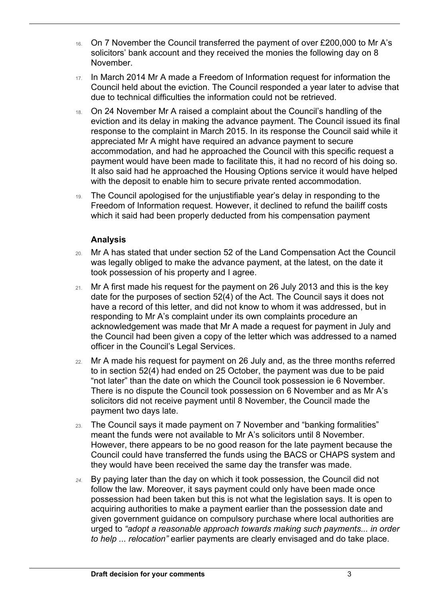- 16. On 7 November the Council transferred the payment of over £200,000 to Mr A's solicitors' bank account and they received the monies the following day on 8 November.
- 17. In March 2014 Mr A made a Freedom of Information request for information the Council held about the eviction. The Council responded a year later to advise that due to technical difficulties the information could not be retrieved.
- 18. On 24 November Mr A raised a complaint about the Council's handling of the eviction and its delay in making the advance payment. The Council issued its final response to the complaint in March 2015. In its response the Council said while it appreciated Mr A might have required an advance payment to secure accommodation, and had he approached the Council with this specific request a payment would have been made to facilitate this, it had no record of his doing so. It also said had he approached the Housing Options service it would have helped with the deposit to enable him to secure private rented accommodation.
- 19. The Council apologised for the unjustifiable year's delay in responding to the Freedom of Information request. However, it declined to refund the bailiff costs which it said had been properly deducted from his compensation payment

### **Analysis**

 $\overline{a}$ 

- 20. Mr A has stated that under section 52 of the Land Compensation Act the Council was legally obliged to make the advance payment, at the latest, on the date it took possession of his property and I agree.
- 21. Mr A first made his request for the payment on 26 July 2013 and this is the key date for the purposes of section 52(4) of the Act. The Council says it does not have a record of this letter, and did not know to whom it was addressed, but in responding to Mr A's complaint under its own complaints procedure an acknowledgement was made that Mr A made a request for payment in July and the Council had been given a copy of the letter which was addressed to a named officer in the Council's Legal Services.
- 22. Mr A made his request for payment on 26 July and, as the three months referred to in section 52(4) had ended on 25 October, the payment was due to be paid "not later" than the date on which the Council took possession ie 6 November. There is no dispute the Council took possession on 6 November and as Mr A's solicitors did not receive payment until 8 November, the Council made the payment two days late.
- 23. The Council says it made payment on 7 November and "banking formalities" meant the funds were not available to Mr A's solicitors until 8 November. However, there appears to be no good reason for the late payment because the Council could have transferred the funds using the BACS or CHAPS system and they would have been received the same day the transfer was made.
- *24.* By paying later than the day on which it took possession, the Council did not follow the law. Moreover, it says payment could only have been made once possession had been taken but this is not what the legislation says. It is open to acquiring authorities to make a payment earlier than the possession date and given government guidance on compulsory purchase where local authorities are urged to *"adopt a reasonable approach towards making such payments... in order to help ... relocation"* earlier payments are clearly envisaged and do take place.